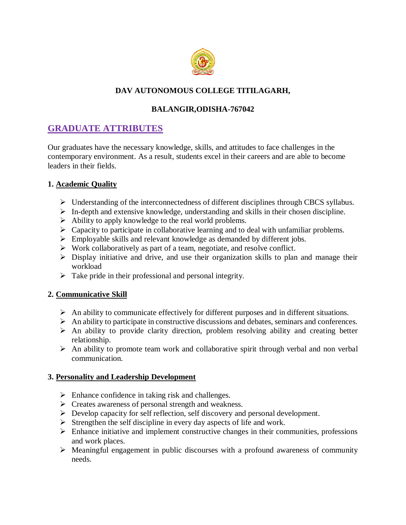

## **DAV AUTONOMOUS COLLEGE TITILAGARH,**

## **BALANGIR,ODISHA-767042**

# **GRADUATE ATTRIBUTES**

Our graduates have the necessary knowledge, skills, and attitudes to face challenges in the contemporary environment. As a result, students excel in their careers and are able to become leaders in their fields.

#### **1. Academic Quality**

- Understanding of the interconnectedness of different disciplines through CBCS syllabus.
- $\triangleright$  In-depth and extensive knowledge, understanding and skills in their chosen discipline.
- Ability to apply knowledge to the real world problems.
- $\triangleright$  Capacity to participate in collaborative learning and to deal with unfamiliar problems.
- $\triangleright$  Employable skills and relevant knowledge as demanded by different jobs.
- $\triangleright$  Work collaboratively as part of a team, negotiate, and resolve conflict.
- $\triangleright$  Display initiative and drive, and use their organization skills to plan and manage their workload
- $\triangleright$  Take pride in their professional and personal integrity.

### **2. Communicative Skill**

- $\triangleright$  An ability to communicate effectively for different purposes and in different situations.
- $\triangleright$  An ability to participate in constructive discussions and debates, seminars and conferences.
- $\triangleright$  An ability to provide clarity direction, problem resolving ability and creating better relationship.
- $\triangleright$  An ability to promote team work and collaborative spirit through verbal and non verbal communication.

#### **3. Personality and Leadership Development**

- $\triangleright$  Enhance confidence in taking risk and challenges.
- $\triangleright$  Creates awareness of personal strength and weakness.
- Develop capacity for self reflection, self discovery and personal development.
- $\triangleright$  Strengthen the self discipline in every day aspects of life and work.
- $\triangleright$  Enhance initiative and implement constructive changes in their communities, professions and work places.
- $\triangleright$  Meaningful engagement in public discourses with a profound awareness of community needs.